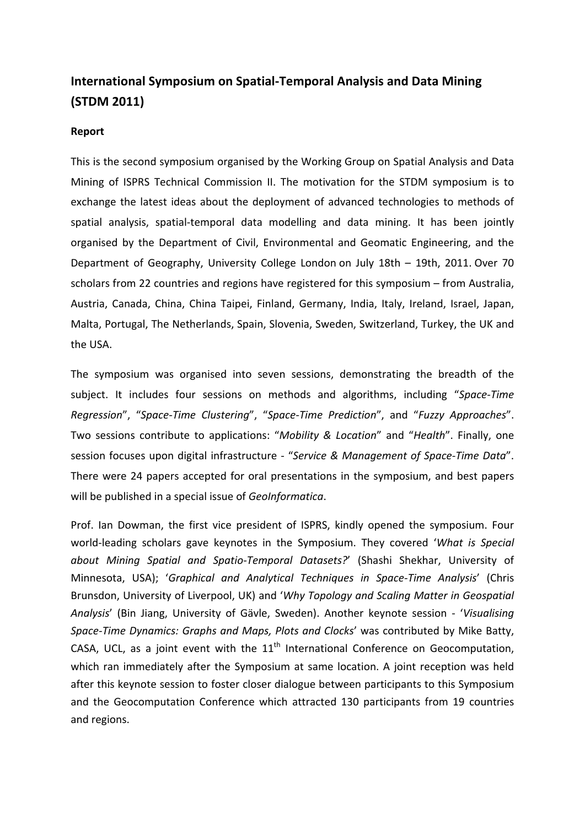## **International Symposium on Spatial-Temporal Analysis and Data Mining (STDM 2011)**

## **Report**

This is the second symposium organised by the Working Group on Spatial Analysis and Data Mining of ISPRS Technical Commission II. The motivation for the STDM symposium is to exchange the latest ideas about the deployment of advanced technologies to methods of spatial analysis, spatial-temporal data modelling and data mining. It has been jointly organised by the Department of Civil, Environmental and Geomatic Engineering, and the Department of Geography, [University College London](http://www.ucl.ac.uk/) on July 18th – 19th, 2011. Over 70 scholars from 22 countries and regions have registered for this symposium – from Australia, Austria, Canada, China, China Taipei, Finland, Germany, India, Italy, Ireland, Israel, Japan, Malta, Portugal, The Netherlands, Spain, Slovenia, Sweden, Switzerland, Turkey, the UK and the USA.

The symposium was organised into seven sessions, demonstrating the breadth of the subject. It includes four sessions on methods and algorithms, including "*Space-Time Regression*", "*Space-Time Clustering*", "*Space-Time Prediction*", and "*Fuzzy Approaches*". Two sessions contribute to applications: "*Mobility & Location*" and "*Health*". Finally, one session focuses upon digital infrastructure - "*Service & Management of Space-Time Data*". There were 24 papers accepted for oral presentations in the symposium, and best papers will be published in a special issue of *GeoInformatica*.

Prof. Ian Dowman, the first vice president of ISPRS, kindly opened the symposium. Four world-leading scholars gave keynotes in the Symposium. They covered '*What is Special about Mining Spatial and Spatio-Temporal Datasets?*' (Shashi Shekhar, University of Minnesota, USA); '*Graphical and Analytical Techniques in Space-Time Analysis*' (Chris Brunsdon, University of Liverpool, UK) and '*Why Topology and Scaling Matter in Geospatial Analysis*' (Bin Jiang, University of Gävle, Sweden). Another keynote session - '*Visualising Space-Time Dynamics: Graphs and Maps, Plots and Clocks*' was contributed by Mike Batty, CASA, UCL, as a joint event with the  $11<sup>th</sup>$  International Conference on Geocomputation, which ran immediately after the Symposium at same location. A joint reception was held after this keynote session to foster closer dialogue between participants to this Symposium and the Geocomputation Conference which attracted 130 participants from 19 countries and regions.